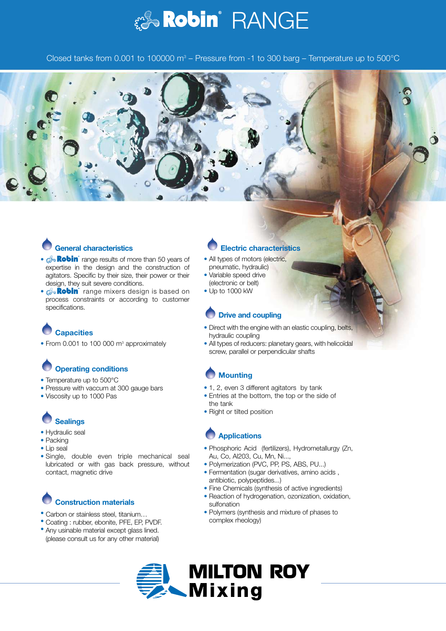

Closed tanks from 0.001 to 100000  $\text{m}^3$  – Pressure from -1 to 300 barg – Temperature up to 500 $^{\circ}$ C



### **General characteristics**

- *a* Robin range results of more than 50 years of expertise in the design and the construction of agitators. Specific by their size, their power or their design, they suit severe conditions.
- **Robin** range mixers design is based on process constraints or according to customer specifications.

# **Capacities**

• From 0.001 to 100 000 m<sup>3</sup> approximately

# **Operating conditions**

- Temperature up to 500°C
- Pressure with vaccum at 300 gauge bars
- Viscosity up to 1000 Pas

## **Sealings**

- Hydraulic seal
- Packing
- Lip seal
- Single, double even triple mechanical seal lubricated or with gas back pressure, without contact, magnetic drive

## **Construction materials**

- Carbon or stainless steel, titanium…
- Coating : rubber, ebonite, PFE, EP, PVDF.
- Any usinable material except glass lined. (please consult us for any other material)

#### **Electric characteristics**

- All types of motors (electric, pneumatic, hydraulic)
- Variable speed drive (electronic or belt)
- Up to 1000 kW

#### **Drive and coupling**

- Direct with the engine with an elastic coupling, belts, hydraulic coupling
- All types of reducers: planetary gears, with helicoïdal screw, parallel or perpendicular shafts

## **Mounting**

- 1, 2, even 3 different agitators by tank
- Entries at the bottom, the top or the side of the tank
- Right or tilted position

#### **Applications**

- Phosphoric Acid (fertilizers), Hydrometallurgy (Zn, Au, Co, Al203, Cu, Mn, Ni...,
- Polymerization (PVC, PP, PS, ABS, PU...)
- Fermentation (sugar derivatives, amino acids , antibiotic, polypeptides...)
- Fine Chemicals (synthesis of active ingredients)
- Reaction of hydrogenation, ozonization, oxidation, sulfonation
- Polymers (synthesis and mixture of phases to complex rheology)